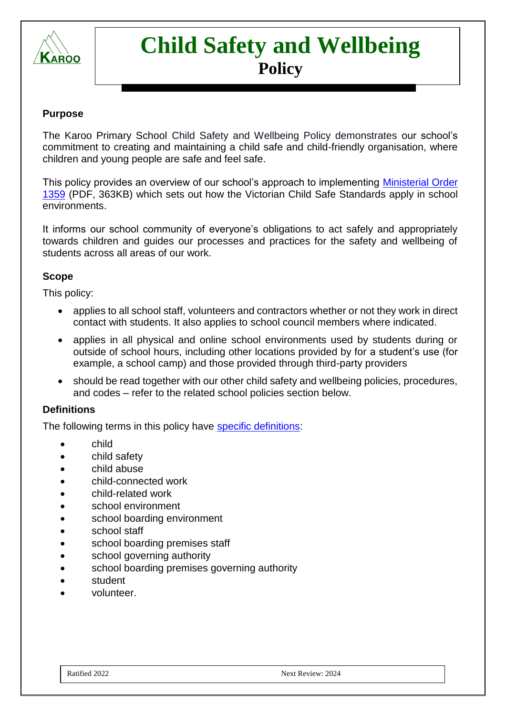

# **Child Safety and Wellbeing Policy**

#### **Purpose**

The Karoo Primary School Child Safety and Wellbeing Policy demonstrates our school's commitment to creating and maintaining a child safe and child-friendly organisation, where children and young people are safe and feel safe.

This policy provides an overview of our school's approach to implementing [Ministerial Order](https://www.education.vic.gov.au/Documents/about/programs/health/protect/Ministerial_Order.pdf)  [1359](https://www.education.vic.gov.au/Documents/about/programs/health/protect/Ministerial_Order.pdf) (PDF, 363KB) which sets out how the Victorian Child Safe Standards apply in school environments.

It informs our school community of everyone's obligations to act safely and appropriately towards children and guides our processes and practices for the safety and wellbeing of students across all areas of our work.

#### **Scope**

This policy:

- applies to all school staff, volunteers and contractors whether or not they work in direct contact with students. It also applies to school council members where indicated.
- applies in all physical and online school environments used by students during or outside of school hours, including other locations provided by for a student's use (for example, a school camp) and those provided through third-party providers
- should be read together with our other child safety and wellbeing policies, procedures, and codes – refer to the related school policies section below.

#### **Definitions**

The following terms in this policy have [specific definitions:](https://www.vic.gov.au/child-safe-standards-definitions)

- child
- child safety
- child abuse
- child-connected work
- child-related work
- school environment
- school boarding environment
- school staff
- school boarding premises staff
- school governing authority
- school boarding premises governing authority
- student
- volunteer.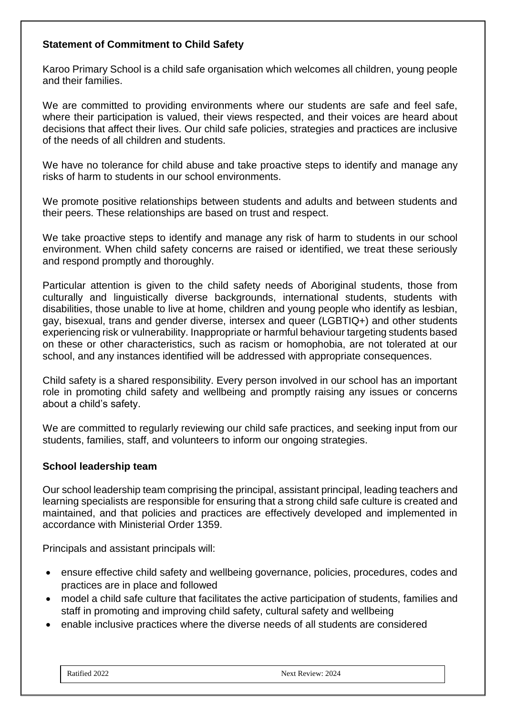## **Statement of Commitment to Child Safety**

Karoo Primary School is a child safe organisation which welcomes all children, young people and their families.

We are committed to providing environments where our students are safe and feel safe, where their participation is valued, their views respected, and their voices are heard about decisions that affect their lives. Our child safe policies, strategies and practices are inclusive of the needs of all children and students.

We have no tolerance for child abuse and take proactive steps to identify and manage any risks of harm to students in our school environments.

We promote positive relationships between students and adults and between students and their peers. These relationships are based on trust and respect.

We take proactive steps to identify and manage any risk of harm to students in our school environment. When child safety concerns are raised or identified, we treat these seriously and respond promptly and thoroughly.

Particular attention is given to the child safety needs of Aboriginal students, those from culturally and linguistically diverse backgrounds, international students, students with disabilities, those unable to live at home, children and young people who identify as lesbian, gay, bisexual, trans and gender diverse, intersex and queer (LGBTIQ+) and other students experiencing risk or vulnerability. Inappropriate or harmful behaviour targeting students based on these or other characteristics, such as racism or homophobia, are not tolerated at our school, and any instances identified will be addressed with appropriate consequences.

Child safety is a shared responsibility. Every person involved in our school has an important role in promoting child safety and wellbeing and promptly raising any issues or concerns about a child's safety.

We are committed to regularly reviewing our child safe practices, and seeking input from our students, families, staff, and volunteers to inform our ongoing strategies.

#### **School leadership team**

Our school leadership team comprising the principal, assistant principal, leading teachers and learning specialists are responsible for ensuring that a strong child safe culture is created and maintained, and that policies and practices are effectively developed and implemented in accordance with Ministerial Order 1359.

Principals and assistant principals will:

- ensure effective child safety and wellbeing governance, policies, procedures, codes and practices are in place and followed
- model a child safe culture that facilitates the active participation of students, families and staff in promoting and improving child safety, cultural safety and wellbeing
- enable inclusive practices where the diverse needs of all students are considered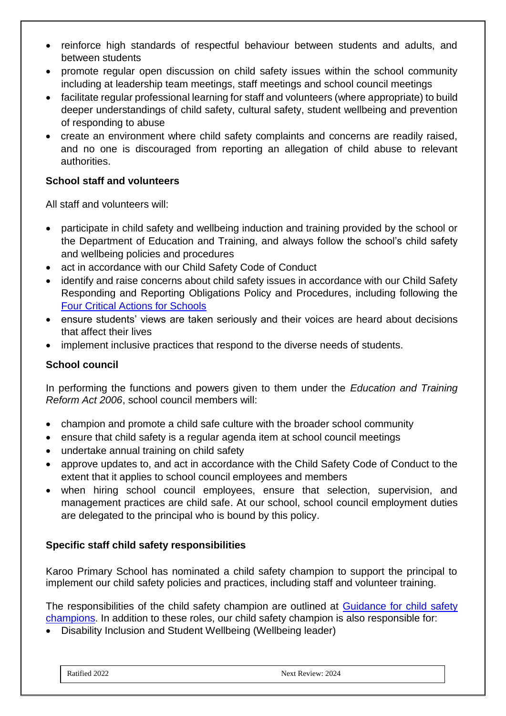- reinforce high standards of respectful behaviour between students and adults, and between students
- promote regular open discussion on child safety issues within the school community including at leadership team meetings, staff meetings and school council meetings
- facilitate regular professional learning for staff and volunteers (where appropriate) to build deeper understandings of child safety, cultural safety, student wellbeing and prevention of responding to abuse
- create an environment where child safety complaints and concerns are readily raised, and no one is discouraged from reporting an allegation of child abuse to relevant authorities.

# **School staff and volunteers**

All staff and volunteers will:

- participate in child safety and wellbeing induction and training provided by the school or the Department of Education and Training, and always follow the school's child safety and wellbeing policies and procedures
- act in accordance with our Child Safety Code of Conduct
- identify and raise concerns about child safety issues in accordance with our Child Safety Responding and Reporting Obligations Policy and Procedures, including following the [Four Critical Actions for Schools](https://www.education.vic.gov.au/school/teachers/health/childprotection/Pages/report.aspx)
- ensure students' views are taken seriously and their voices are heard about decisions that affect their lives
- implement inclusive practices that respond to the diverse needs of students.

# **School council**

In performing the functions and powers given to them under the *Education and Training Reform Act 2006*, school council members will:

- champion and promote a child safe culture with the broader school community
- ensure that child safety is a regular agenda item at school council meetings
- undertake annual training on child safety
- approve updates to, and act in accordance with the Child Safety Code of Conduct to the extent that it applies to school council employees and members
- when hiring school council employees, ensure that selection, supervision, and management practices are child safe. At our school, school council employment duties are delegated to the principal who is bound by this policy.

# **Specific staff child safety responsibilities**

Karoo Primary School has nominated a child safety champion to support the principal to implement our child safety policies and practices, including staff and volunteer training.

The responsibilities of the child safety champion are outlined at Guidance for child safety [champions.](https://www.vic.gov.au/guidance-child-safety-champions) In addition to these roles, our child safety champion is also responsible for:

• Disability Inclusion and Student Wellbeing (Wellbeing leader)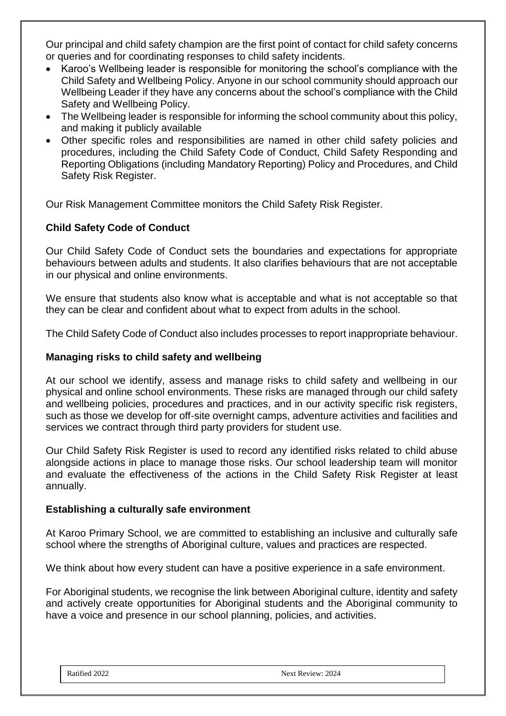Our principal and child safety champion are the first point of contact for child safety concerns or queries and for coordinating responses to child safety incidents.

- Karoo's Wellbeing leader is responsible for monitoring the school's compliance with the Child Safety and Wellbeing Policy. Anyone in our school community should approach our Wellbeing Leader if they have any concerns about the school's compliance with the Child Safety and Wellbeing Policy.
- The Wellbeing leader is responsible for informing the school community about this policy, and making it publicly available
- Other specific roles and responsibilities are named in other child safety policies and procedures, including the Child Safety Code of Conduct, Child Safety Responding and Reporting Obligations (including Mandatory Reporting) Policy and Procedures, and Child Safety Risk Register.

Our Risk Management Committee monitors the Child Safety Risk Register.

# **Child Safety Code of Conduct**

Our Child Safety Code of Conduct sets the boundaries and expectations for appropriate behaviours between adults and students. It also clarifies behaviours that are not acceptable in our physical and online environments.

We ensure that students also know what is acceptable and what is not acceptable so that they can be clear and confident about what to expect from adults in the school.

The Child Safety Code of Conduct also includes processes to report inappropriate behaviour.

#### **Managing risks to child safety and wellbeing**

At our school we identify, assess and manage risks to child safety and wellbeing in our physical and online school environments. These risks are managed through our child safety and wellbeing policies, procedures and practices, and in our activity specific risk registers, such as those we develop for off-site overnight camps, adventure activities and facilities and services we contract through third party providers for student use.

Our Child Safety Risk Register is used to record any identified risks related to child abuse alongside actions in place to manage those risks. Our school leadership team will monitor and evaluate the effectiveness of the actions in the Child Safety Risk Register at least annually.

#### **Establishing a culturally safe environment**

At Karoo Primary School, we are committed to establishing an inclusive and culturally safe school where the strengths of Aboriginal culture, values and practices are respected.

We think about how every student can have a positive experience in a safe environment.

For Aboriginal students, we recognise the link between Aboriginal culture, identity and safety and actively create opportunities for Aboriginal students and the Aboriginal community to have a voice and presence in our school planning, policies, and activities.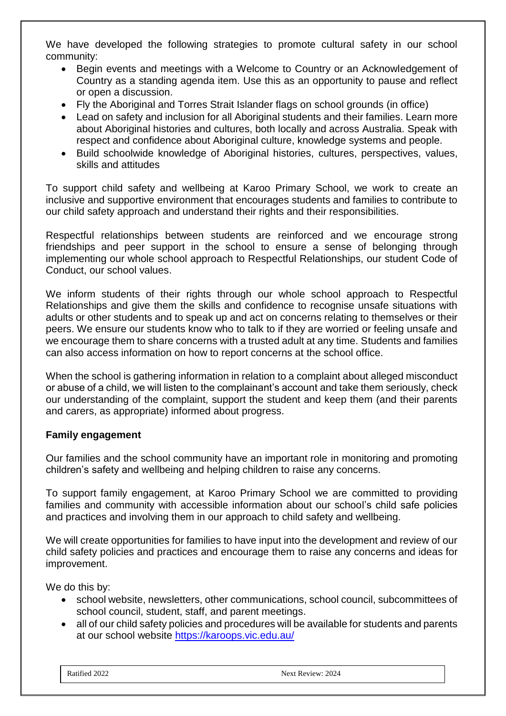We have developed the following strategies to promote cultural safety in our school community:

- Begin events and meetings with a Welcome to Country or an Acknowledgement of Country as a standing agenda item. Use this as an opportunity to pause and reflect or open a discussion.
- Fly the Aboriginal and Torres Strait Islander flags on school grounds (in office)
- Lead on safety and inclusion for all Aboriginal students and their families. Learn more about Aboriginal histories and cultures, both locally and across Australia. Speak with respect and confidence about Aboriginal culture, knowledge systems and people.
- Build schoolwide knowledge of Aboriginal histories, cultures, perspectives, values, skills and attitudes

To support child safety and wellbeing at Karoo Primary School, we work to create an inclusive and supportive environment that encourages students and families to contribute to our child safety approach and understand their rights and their responsibilities.

Respectful relationships between students are reinforced and we encourage strong friendships and peer support in the school to ensure a sense of belonging through implementing our whole school approach to Respectful Relationships, our student Code of Conduct, our school values.

We inform students of their rights through our whole school approach to Respectful Relationships and give them the skills and confidence to recognise unsafe situations with adults or other students and to speak up and act on concerns relating to themselves or their peers. We ensure our students know who to talk to if they are worried or feeling unsafe and we encourage them to share concerns with a trusted adult at any time. Students and families can also access information on how to report concerns at the school office.

When the school is gathering information in relation to a complaint about alleged misconduct or abuse of a child, we will listen to the complainant's account and take them seriously, check our understanding of the complaint, support the student and keep them (and their parents and carers, as appropriate) informed about progress.

# **Family engagement**

Our families and the school community have an important role in monitoring and promoting children's safety and wellbeing and helping children to raise any concerns.

To support family engagement, at Karoo Primary School we are committed to providing families and community with accessible information about our school's child safe policies and practices and involving them in our approach to child safety and wellbeing.

We will create opportunities for families to have input into the development and review of our child safety policies and practices and encourage them to raise any concerns and ideas for improvement.

We do this by:

- school website, newsletters, other communications, school council, subcommittees of school council, student, staff, and parent meetings.
- all of our child safety policies and procedures will be available for students and parents at our school website<https://karoops.vic.edu.au/>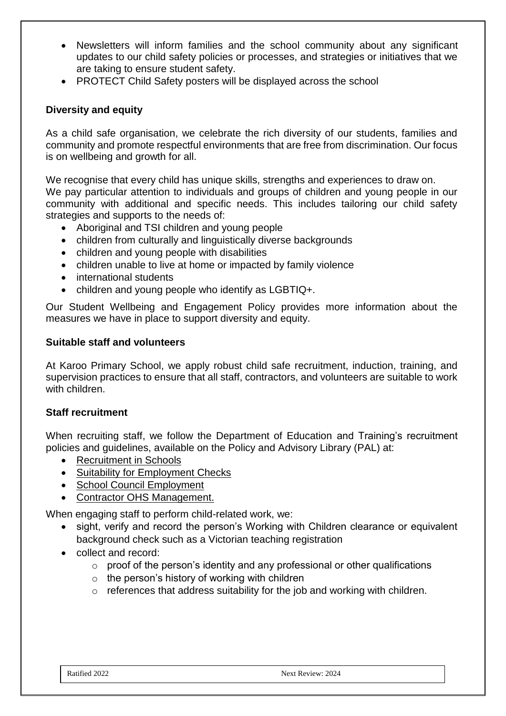- Newsletters will inform families and the school community about any significant updates to our child safety policies or processes, and strategies or initiatives that we are taking to ensure student safety.
- PROTECT Child Safety posters will be displayed across the school

#### **Diversity and equity**

As a child safe organisation, we celebrate the rich diversity of our students, families and community and promote respectful environments that are free from discrimination. Our focus is on wellbeing and growth for all.

We recognise that every child has unique skills, strengths and experiences to draw on. We pay particular attention to individuals and groups of children and young people in our community with additional and specific needs. This includes tailoring our child safety strategies and supports to the needs of:

- Aboriginal and TSI children and young people
- children from culturally and linguistically diverse backgrounds
- children and young people with disabilities
- children unable to live at home or impacted by family violence
- international students
- children and young people who identify as LGBTIQ+.

Our Student Wellbeing and Engagement Policy provides more information about the measures we have in place to support diversity and equity.

#### **Suitable staff and volunteers**

At Karoo Primary School, we apply robust child safe recruitment, induction, training, and supervision practices to ensure that all staff, contractors, and volunteers are suitable to work with children.

#### **Staff recruitment**

When recruiting staff, we follow the Department of Education and Training's recruitment policies and guidelines, available on the Policy and Advisory Library (PAL) at:

- [Recruitment in Schools](https://www2.education.vic.gov.au/pal/recruitment-schools/overview)
- [Suitability for Employment Checks](https://www2.education.vic.gov.au/pal/suitability-employment-checks/overview)
- [School Council Employment](https://www2.education.vic.gov.au/pal/school-council-employment/overview)
- [Contractor OHS Management.](https://www2.education.vic.gov.au/pal/contractor-ohs-management/policy)

When engaging staff to perform child-related work, we:

- sight, verify and record the person's Working with Children clearance or equivalent background check such as a Victorian teaching registration
- collect and record:
	- $\circ$  proof of the person's identity and any professional or other qualifications
	- $\circ$  the person's history of working with children
	- o references that address suitability for the job and working with children.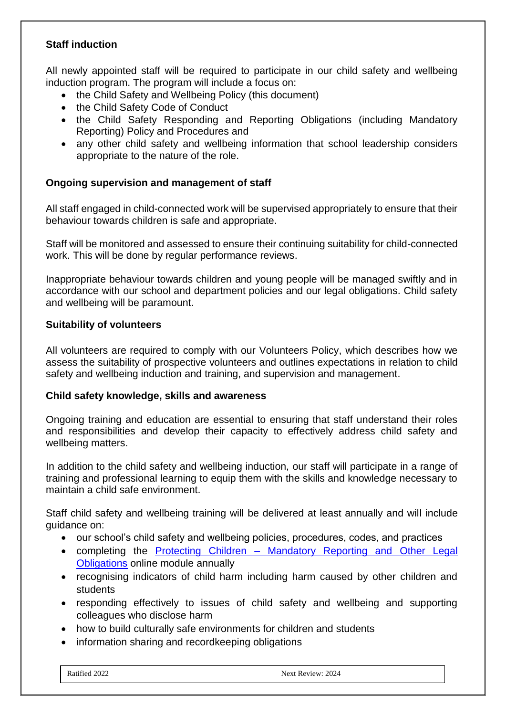#### **Staff induction**

All newly appointed staff will be required to participate in our child safety and wellbeing induction program. The program will include a focus on:

- the Child Safety and Wellbeing Policy (this document)
- the Child Safety Code of Conduct
- the Child Safety Responding and Reporting Obligations (including Mandatory Reporting) Policy and Procedures and
- any other child safety and wellbeing information that school leadership considers appropriate to the nature of the role.

#### **Ongoing supervision and management of staff**

All staff engaged in child-connected work will be supervised appropriately to ensure that their behaviour towards children is safe and appropriate.

Staff will be monitored and assessed to ensure their continuing suitability for child-connected work. This will be done by regular performance reviews.

Inappropriate behaviour towards children and young people will be managed swiftly and in accordance with our school and department policies and our legal obligations. Child safety and wellbeing will be paramount.

#### **Suitability of volunteers**

All volunteers are required to comply with our Volunteers Policy, which describes how we assess the suitability of prospective volunteers and outlines expectations in relation to child safety and wellbeing induction and training, and supervision and management.

#### **Child safety knowledge, skills and awareness**

Ongoing training and education are essential to ensuring that staff understand their roles and responsibilities and develop their capacity to effectively address child safety and wellbeing matters.

In addition to the child safety and wellbeing induction, our staff will participate in a range of training and professional learning to equip them with the skills and knowledge necessary to maintain a child safe environment.

Staff child safety and wellbeing training will be delivered at least annually and will include guidance on:

- our school's child safety and wellbeing policies, procedures, codes, and practices
- completing the Protecting Children Mandatory Reporting and Other Legal [Obligations](http://elearn.com.au/det/protectingchildren/) online module annually
- recognising indicators of child harm including harm caused by other children and students
- responding effectively to issues of child safety and wellbeing and supporting colleagues who disclose harm
- how to build culturally safe environments for children and students
- information sharing and recordkeeping obligations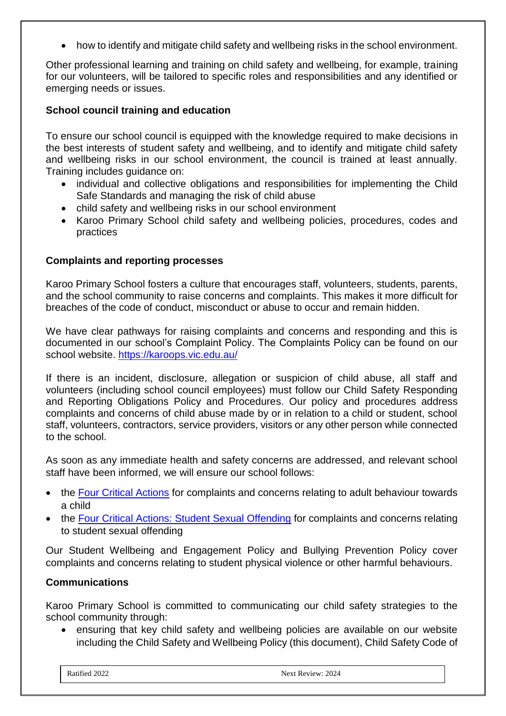• how to identify and mitigate child safety and wellbeing risks in the school environment.

Other professional learning and training on child safety and wellbeing, for example, training for our volunteers, will be tailored to specific roles and responsibilities and any identified or emerging needs or issues.

## **School council training and education**

To ensure our school council is equipped with the knowledge required to make decisions in the best interests of student safety and wellbeing, and to identify and mitigate child safety and wellbeing risks in our school environment, the council is trained at least annually. Training includes guidance on:

- individual and collective obligations and responsibilities for implementing the Child Safe Standards and managing the risk of child abuse
- child safety and wellbeing risks in our school environment
- Karoo Primary School child safety and wellbeing policies, procedures, codes and practices

#### **Complaints and reporting processes**

Karoo Primary School fosters a culture that encourages staff, volunteers, students, parents, and the school community to raise concerns and complaints. This makes it more difficult for breaches of the code of conduct, misconduct or abuse to occur and remain hidden.

We have clear pathways for raising complaints and concerns and responding and this is documented in our school's Complaint Policy. The Complaints Policy can be found on our school website.<https://karoops.vic.edu.au/>

If there is an incident, disclosure, allegation or suspicion of child abuse, all staff and volunteers (including school council employees) must follow our Child Safety Responding and Reporting Obligations Policy and Procedures. Our policy and procedures address complaints and concerns of child abuse made by or in relation to a child or student, school staff, volunteers, contractors, service providers, visitors or any other person while connected to the school.

As soon as any immediate health and safety concerns are addressed, and relevant school staff have been informed, we will ensure our school follows:

- the [Four Critical Actions](https://www.education.vic.gov.au/Documents/about/programs/health/protect/FourCriticalActions_ChildAbuse.pdf) for complaints and concerns relating to adult behaviour towards a child
- the [Four Critical Actions: Student Sexual Offending](https://www.education.vic.gov.au/school/teachers/health/childprotection/Pages/stusexual.aspx) for complaints and concerns relating to student sexual offending

Our Student Wellbeing and Engagement Policy and Bullying Prevention Policy cover complaints and concerns relating to student physical violence or other harmful behaviours.

#### **Communications**

Karoo Primary School is committed to communicating our child safety strategies to the school community through:

• ensuring that key child safety and wellbeing policies are available on our website including the Child Safety and Wellbeing Policy (this document), Child Safety Code of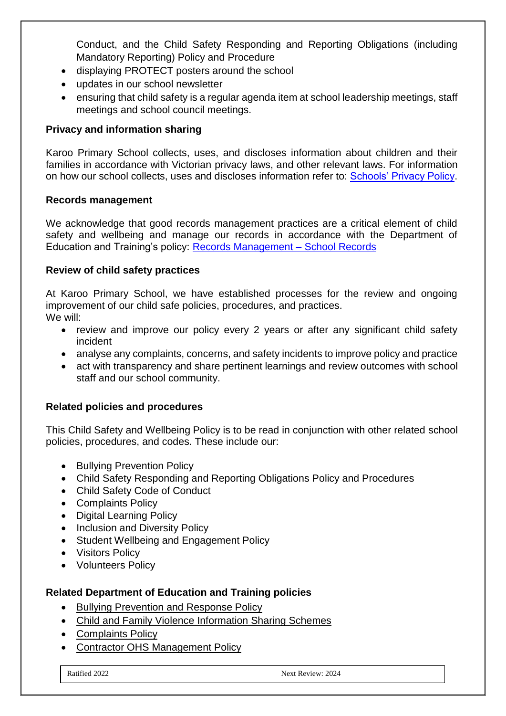Conduct, and the Child Safety Responding and Reporting Obligations (including Mandatory Reporting) Policy and Procedure

- displaying PROTECT posters around the school
- updates in our school newsletter
- ensuring that child safety is a regular agenda item at school leadership meetings, staff meetings and school council meetings.

# **Privacy and information sharing**

Karoo Primary School collects, uses, and discloses information about children and their families in accordance with Victorian privacy laws, and other relevant laws. For information on how our school collects, uses and discloses information refer to: [Schools' Privacy Policy.](https://www.education.vic.gov.au/Pages/schoolsprivacypolicy.aspx)

#### **Records management**

We acknowledge that good records management practices are a critical element of child safety and wellbeing and manage our records in accordance with the Department of Education and Training's policy: [Records Management –](https://www2.education.vic.gov.au/pal/records-management/policy) School Records

# **Review of child safety practices**

At Karoo Primary School, we have established processes for the review and ongoing improvement of our child safe policies, procedures, and practices. We will:

- review and improve our policy every 2 years or after any significant child safety incident
- analyse any complaints, concerns, and safety incidents to improve policy and practice
- act with transparency and share pertinent learnings and review outcomes with school staff and our school community.

# **Related policies and procedures**

This Child Safety and Wellbeing Policy is to be read in conjunction with other related school policies, procedures, and codes. These include our:

- Bullying Prevention Policy
- Child Safety Responding and Reporting Obligations Policy and Procedures
- Child Safety Code of Conduct
- Complaints Policy
- Digital Learning Policy
- Inclusion and Diversity Policy
- Student Wellbeing and Engagement Policy
- Visitors Policy
- Volunteers Policy

# **Related Department of Education and Training policies**

- [Bullying Prevention and Response Policy](https://www2.education.vic.gov.au/pal/bullying-prevention-response/policy)
- [Child and Family Violence Information Sharing Schemes](https://www2.education.vic.gov.au/pal/information-sharing-schemes/policy)
- [Complaints Policy](https://www2.education.vic.gov.au/pal/complaints/policy)
- [Contractor OHS Management Policy](https://www2.education.vic.gov.au/pal/contractor-ohs-management/policy)

Ratified 2022 Next Review: 2024